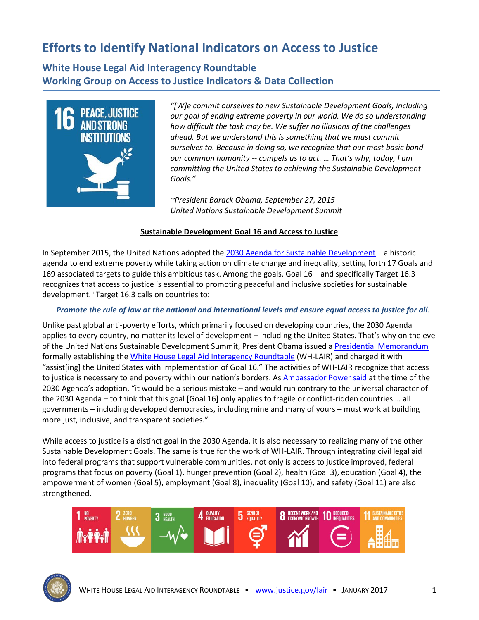# **Efforts to Identify National Indicators on Access to Justice**

**White House Legal Aid Interagency Roundtable Working Group on Access to Justice Indicators & Data Collection**



*"[W]e commit ourselves to new Sustainable Development Goals, including our goal of ending extreme poverty in our world. We do so understanding how difficult the task may be. We suffer no illusions of the challenges ahead. But we understand this is something that we must commit ourselves to. Because in doing so, we recognize that our most basic bond - our common humanity -- compels us to act. … That's why, today, I am committing the United States to achieving the Sustainable Development Goals."*

*~President Barack Obama, September 27, 2015 United Nations Sustainable Development Summit*

#### **Sustainable Development Goal 16 and Access to Justice**

In September 2015, the United Nations adopted the [2030 Agenda for Sustainable Development](https://sustainabledevelopment.un.org/post2015/transformingourworld) – a historic agenda to end extreme poverty while taking action on climate change and inequality, setting forth 17 Goals and 169 associated targets to guide this ambitious task. Among the goals, Goal 16 – and specifically Target 16.3 – recognizes that access to justice is essential to promoting peaceful and inclusive societies for sustainable development. [i](#page-3-0) Target 16.3 calls on countries to:

#### *Promote the rule of law at the national and international levels and ensure equal access to justice for all.*

Unlike past global anti-poverty efforts, which primarily focused on developing countries, the 2030 Agenda applies to every country, no matter its level of development – including the United States. That's why on the eve of the United Nations Sustainable Development Summit, President Obama issued a [Presidential Memorandum](https://www.justice.gov/lair/presidential-memorandum) formally establishing th[e White House Legal Aid Interagency Roundtable](http://www.justice.gov/lair) (WH-LAIR) and charged it with "assist[ing] the United States with implementation of Goal 16." The activities of WH-LAIR recognize that access to justice is necessary to end poverty within our nation's borders. As [Ambassador Power said](https://usun.state.gov/remarks/6835) at the time of the 2030 Agenda's adoption, "it would be a serious mistake – and would run contrary to the universal character of the 2030 Agenda – to think that this goal [Goal 16] only applies to fragile or conflict-ridden countries … all governments – including developed democracies, including mine and many of yours – must work at building more just, inclusive, and transparent societies."

While access to justice is a distinct goal in the 2030 Agenda, it is also necessary to realizing many of the other Sustainable Development Goals. The same is true for the work of WH-LAIR. Through integrating civil legal aid into federal programs that support vulnerable communities, not only is access to justice improved, federal programs that focus on poverty (Goal 1), hunger prevention (Goal 2), health (Goal 3), education (Goal 4), the empowerment of women (Goal 5), employment (Goal 8), inequality (Goal 10), and safety (Goal 11) are also strengthened.



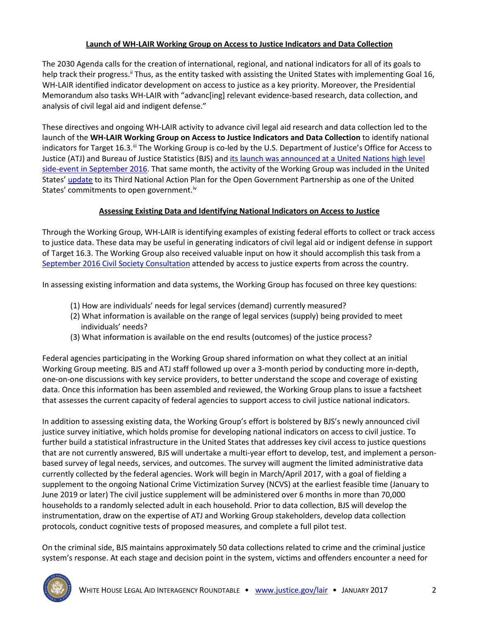### **Launch of WH-LAIR Working Group on Access to Justice Indicators and Data Collection**

The 2030 Agenda calls for the creation of international, regional, and national indicators for all of its goals to help track their progress.<sup>"</sup> Thus, as the entity tasked with assisting the United States with implementing Goal 16, WH-LAIR identified indicator development on access to justice as a key priority. Moreover, the Presidential Memorandum also tasks WH-LAIR with "advanc[ing] relevant evidence-based research, data collection, and analysis of civil legal aid and indigent defense."

These directives and ongoing WH-LAIR activity to advance civil legal aid research and data collection led to the launch of the **WH-LAIR Working Group on Access to Justice Indicators and Data Collection** to identify national indicators for Target 16.3.<sup>ii</sup> The Working Group is co-led by the U.S. Department of Justice's Office for Access to Justice (ATJ) and Bureau of Justice Statistics (BJS) and [its launch was announced at a United Nations high level](https://www.justice.gov/opa/blog/white-house-legal-aid-interagency-roundtable-and-goal-16-one-year)  [side-event in September 2016.](https://www.justice.gov/opa/blog/white-house-legal-aid-interagency-roundtable-and-goal-16-one-year) That same month, the activity of the Working Group was included in the United States[' update](https://www.whitehouse.gov/sites/default/files/docs/new_nap_commitments_final.pdf) to its Third National Action Plan for the Open Government Partnership as one of the United States' commitments to open government.<sup>[iv](#page-3-3)</sup>

### **Assessing Existing Data and Identifying National Indicators on Access to Justice**

Through the Working Group, WH-LAIR is identifying examples of existing federal efforts to collect or track access to justice data. These data may be useful in generating indicators of civil legal aid or indigent defense in support of Target 16.3. The Working Group also received valuable input on how it should accomplish this task from a [September 2016 Civil Society Consultation](https://www.justice.gov/opa/blog/white-house-legal-aid-interagency-roundtable-and-goal-16-one-year) attended by access to justice experts from across the country.

In assessing existing information and data systems, the Working Group has focused on three key questions:

- (1) How are individuals' needs for legal services (demand) currently measured?
- (2) What information is available on the range of legal services (supply) being provided to meet individuals' needs?
- (3) What information is available on the end results (outcomes) of the justice process?

Federal agencies participating in the Working Group shared information on what they collect at an initial Working Group meeting. BJS and ATJ staff followed up over a 3-month period by conducting more in-depth, one-on-one discussions with key service providers, to better understand the scope and coverage of existing data. Once this information has been assembled and reviewed, the Working Group plans to issue a factsheet that assesses the current capacity of federal agencies to support access to civil justice national indicators.

In addition to assessing existing data, the Working Group's effort is bolstered by BJS's newly announced civil justice survey initiative, which holds promise for developing national indicators on access to civil justice. To further build a statistical infrastructure in the United States that addresses key civil access to justice questions that are not currently answered, BJS will undertake a multi-year effort to develop, test, and implement a personbased survey of legal needs, services, and outcomes. The survey will augment the limited administrative data currently collected by the federal agencies. Work will begin in March/April 2017, with a goal of fielding a supplement to the ongoing National Crime Victimization Survey (NCVS) at the earliest feasible time (January to June 2019 or later) The civil justice supplement will be administered over 6 months in more than 70,000 households to a randomly selected adult in each household. Prior to data collection, BJS will develop the instrumentation, draw on the expertise of ATJ and Working Group stakeholders, develop data collection protocols, conduct cognitive tests of proposed measures, and complete a full pilot test.

On the criminal side, BJS maintains approximately 50 data collections related to crime and the criminal justice system's response. At each stage and decision point in the system, victims and offenders encounter a need for

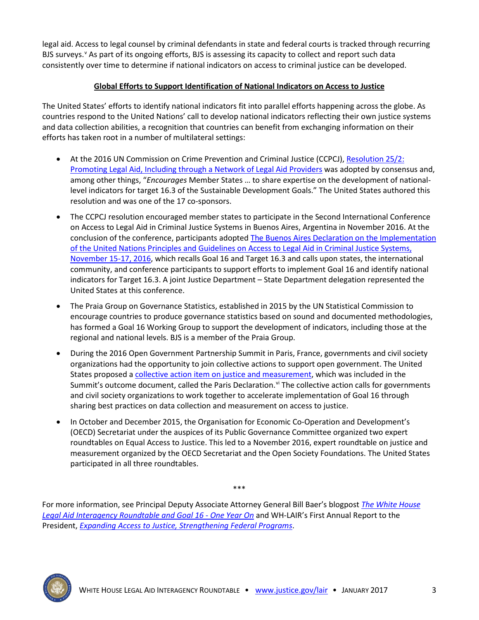legal aid. Access to legal counsel by criminal defendants in state and federal courts is tracked through recurring BJS sur[v](#page-3-4)eys.<sup>v</sup> As part of its ongoing efforts, BJS is assessing its capacity to collect and report such data consistently over time to determine if national indicators on access to criminal justice can be developed.

## **Global Efforts to Support Identification of National Indicators on Access to Justice**

The United States' efforts to identify national indicators fit into parallel efforts happening across the globe. As countries respond to the United Nations' call to develop national indicators reflecting their own justice systems and data collection abilities, a recognition that countries can benefit from exchanging information on their efforts has taken root in a number of multilateral settings:

- At the 2016 UN Commission on Crime Prevention and Criminal Justice (CCPCJ), Resolution 25/2: [Promoting Legal Aid, Including through a Network of Legal Aid Providers](http://www.unodc.org/documents/commissions/CCPCJ/CCPCJ_Sessions/CCPCJ_25/2016_Resolutions_Decisions/03.CCPCJ_2016/Resolution_25_2.pdf) was adopted by consensus and, among other things, "*Encourages* Member States … to share expertise on the development of nationallevel indicators for target 16.3 of the Sustainable Development Goals." The United States authored this resolution and was one of the 17 co-sponsors.
- The CCPCJ resolution encouraged member states to participate in the Second International Conference on Access to Legal Aid in Criminal Justice Systems in Buenos Aires, Argentina in November 2016. At the conclusion of the conference, participants adopted [The Buenos Aires Declaration on the Implementation](http://www.balegalaid.com/wp-content/uploads/2016/12/Buenos-Aires-Declaration-Final-_English-version.pdf)  [of the United Nations Principles and Guidelines on Access to Legal Aid in Criminal](http://www.balegalaid.com/wp-content/uploads/2016/12/Buenos-Aires-Declaration-Final-_English-version.pdf) Justice Systems, [November 15-17, 2016,](http://www.balegalaid.com/wp-content/uploads/2016/12/Buenos-Aires-Declaration-Final-_English-version.pdf) which recalls Goal 16 and Target 16.3 and calls upon states, the international community, and conference participants to support efforts to implement Goal 16 and identify national indicators for Target 16.3. A joint Justice Department – State Department delegation represented the United States at this conference.
- The Praia Group on Governance Statistics, established in 2015 by the UN Statistical Commission to encourage countries to produce governance statistics based on sound and documented methodologies, has formed a Goal 16 Working Group to support the development of indicators, including those at the regional and national levels. BJS is a member of the Praia Group.
- During the 2016 Open Government Partnership Summit in Paris, France, governments and civil society organizations had the opportunity to join collective actions to support open government. The United States proposed a collective [action item on justice and measurement,](https://paris-declaration.ogpsummit.org/topic/58205ea22fd812b46ab9fa96) which was included in the Summit's outcome document, called the Paris Declaration.<sup>[vi](#page-3-5)</sup> The collective action calls for governments and civil society organizations to work together to accelerate implementation of Goal 16 through sharing best practices on data collection and measurement on access to justice.
- In October and December 2015, the Organisation for Economic Co-Operation and Development's (OECD) Secretariat under the auspices of its Public Governance Committee organized two expert roundtables on Equal Access to Justice. This led to a November 2016, expert roundtable on justice and measurement organized by the OECD Secretariat and the Open Society Foundations. The United States participated in all three roundtables.

For more information, see Principal Deputy Associate Attorney General Bill Baer's blogpost *[The White House](https://www.justice.gov/opa/blog/white-house-legal-aid-interagency-roundtable-and-goal-16-one-year)  [Legal Aid Interagency Roundtable and Goal 16 - One Year On](https://www.justice.gov/opa/blog/white-house-legal-aid-interagency-roundtable-and-goal-16-one-year)* and WH-LAIR's First Annual Report to the President, *[Expanding Access to Justice, Strengthening Federal Programs](https://www.justice.gov/atj/page/file/913981/download)*.

\*\*\*